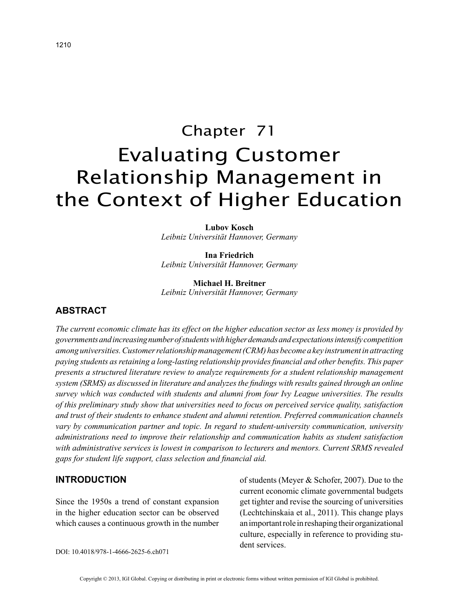# Chapter 71 Evaluating Customer Relationship Management in the Context of Higher Education

**Lubov Kosch** *Leibniz Universität Hannover, Germany*

**Ina Friedrich** *Leibniz Universität Hannover, Germany*

**Michael H. Breitner** *Leibniz Universität Hannover, Germany*

## **ABSTRACT**

*The current economic climate has its effect on the higher education sector as less money is provided by governments and increasing number of students with higher demands and expectations intensify competition among universities. Customer relationship management (CRM) has become a key instrument in attracting paying students as retaining a long-lasting relationship provides financial and other benefits. This paper presents a structured literature review to analyze requirements for a student relationship management system (SRMS) as discussed in literature and analyzes the findings with results gained through an online survey which was conducted with students and alumni from four Ivy League universities. The results of this preliminary study show that universities need to focus on perceived service quality, satisfaction and trust of their students to enhance student and alumni retention. Preferred communication channels vary by communication partner and topic. In regard to student-university communication, university administrations need to improve their relationship and communication habits as student satisfaction with administrative services is lowest in comparison to lecturers and mentors. Current SRMS revealed gaps for student life support, class selection and financial aid.*

## **INTRODUCTION**

Since the 1950s a trend of constant expansion in the higher education sector can be observed which causes a continuous growth in the number of students (Meyer & Schofer, 2007). Due to the current economic climate governmental budgets get tighter and revise the sourcing of universities (Lechtchinskaia et al., 2011). This change plays an important role in reshaping their organizational culture, especially in reference to providing student services.

DOI: 10.4018/978-1-4666-2625-6.ch071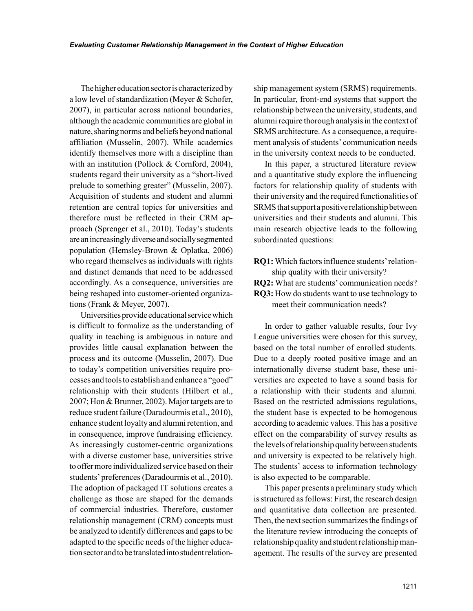The higher education sector is characterized by a low level of standardization (Meyer & Schofer, 2007), in particular across national boundaries, although the academic communities are global in nature, sharing norms and beliefs beyond national affiliation (Musselin, 2007). While academics identify themselves more with a discipline than with an institution (Pollock & Cornford, 2004), students regard their university as a "short-lived prelude to something greater" (Musselin, 2007). Acquisition of students and student and alumni retention are central topics for universities and therefore must be reflected in their CRM approach (Sprenger et al., 2010). Today's students are an increasingly diverse and socially segmented population (Hemsley-Brown & Oplatka, 2006) who regard themselves as individuals with rights and distinct demands that need to be addressed accordingly. As a consequence, universities are being reshaped into customer-oriented organizations (Frank & Meyer, 2007).

Universities provide educational service which is difficult to formalize as the understanding of quality in teaching is ambiguous in nature and provides little causal explanation between the process and its outcome (Musselin, 2007). Due to today's competition universities require processes and tools to establish and enhance a "good" relationship with their students (Hilbert et al., 2007; Hon & Brunner, 2002). Major targets are to reduce student failure (Daradourmis et al., 2010), enhance student loyalty and alumni retention, and in consequence, improve fundraising efficiency. As increasingly customer-centric organizations with a diverse customer base, universities strive to offer more individualized service based on their students' preferences (Daradourmis et al., 2010). The adoption of packaged IT solutions creates a challenge as those are shaped for the demands of commercial industries. Therefore, customer relationship management (CRM) concepts must be analyzed to identify differences and gaps to be adapted to the specific needs of the higher education sector and to be translated into student relationship management system (SRMS) requirements. In particular, front-end systems that support the relationship between the university, students, and alumni require thorough analysis in the context of SRMS architecture. As a consequence, a requirement analysis of students' communication needs in the university context needs to be conducted.

In this paper, a structured literature review and a quantitative study explore the influencing factors for relationship quality of students with their university and the required functionalities of SRMS that support a positive relationship between universities and their students and alumni. This main research objective leads to the following subordinated questions:

**RQ1:** Which factors influence students' relationship quality with their university? **RQ2:** What are students' communication needs? **RQ3:** How do students want to use technology to meet their communication needs?

In order to gather valuable results, four Ivy League universities were chosen for this survey, based on the total number of enrolled students. Due to a deeply rooted positive image and an internationally diverse student base, these universities are expected to have a sound basis for a relationship with their students and alumni. Based on the restricted admissions regulations, the student base is expected to be homogenous according to academic values. This has a positive effect on the comparability of survey results as the levels of relationship quality between students and university is expected to be relatively high. The students' access to information technology is also expected to be comparable.

This paper presents a preliminary study which is structured as follows: First, the research design and quantitative data collection are presented. Then, the next section summarizes the findings of the literature review introducing the concepts of relationship quality and student relationship management. The results of the survey are presented